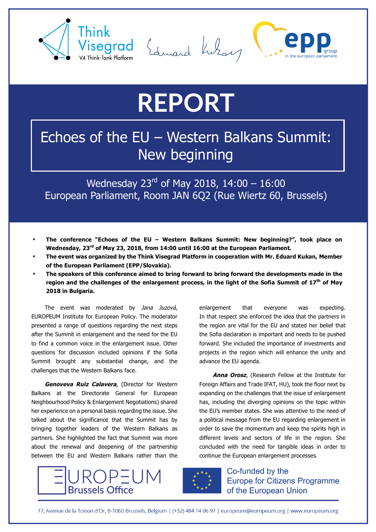





## **REPORT**

## Echoes of the EU – Western Balkans Summit: New beginning

Wednesday  $23^{rd}$  of May 2018, 14:00 – 16:00 European Parliament, Room JAN 6Q2 (Rue Wiertz 60, Brussels)

- § **The conference "Echoes of the EU – Western Balkans Summit: New beginning?", took place on Wednesday, 23rd of May 23, 2018, from 14:00 until 16:00 at the European Parliament.**
- § **The event was organized by the Think Visegrad Platform in cooperation with Mr. Eduard Kukan, Member of the European Parliament (EPP/Slovakia).**
- § **The speakers of this conference aimed to bring forward to bring forward the developments made in the region and the challenges of the enlargement process, in the light of the Sofia Summit of 17th of May 2018 in Bulgaria.**

The event was moderated by Jana Juzová, EUROPEUM Institute for European Policy. The moderator presented a range of questions regarding the next steps after the Summit in enlargement and the need for the EU to find a common voice in the enlargement issue. Other questions for discussion included opinions if the Sofia Summit brought any substantial change, and the challenges that the Western Balkans face.

**Genoveva Ruiz Calavera**, (Director for Western Balkans at the Directorate General for European Neighbourhood Policy & Enlargement Negotiations) shared her experience on a personal basis regarding the issue. She talked about the significance that the Summit has by bringing together leaders of the Western Balkans as partners. She highlighted the fact that Summit was more about the renewal and deepening of the partnership between the EU and Western Balkans rather than the





advance the EU agenda.

Co-funded by the **Europe for Citizens Programme** of the European Union

continue the European enlargement processes.

enlargement that everyone was expecting. In that respect she enforced the idea that the partners in the region are vital for the EU and stated her belief that the Sofia declaration is important and needs to be pushed forward. She included the importance of investments and projects in the region which will enhance the unity and

**Anna Orosz**, (Research Fellow at the Institute for Foreign Affairs and Trade IFAT, HU), took the floor next by expanding on the challenges that the issue of enlargement has, including the diverging opinions on the topic within the EU's member states. She was attentive to the need of a political message from the EU regarding enlargement in order to save the momentum and keep the spirits high in different levels and sectors of life in the region. She concluded with the need for tangible ideas in order to

77. Avenue de la Toison d'Or. B-1060 Brussels, Belgium | (+32) 484 14 06 97 | europeum@europeum.org | www.europeum.org